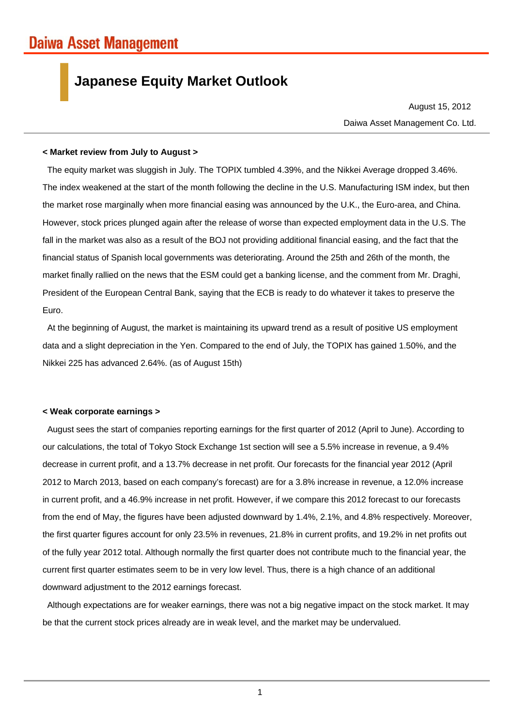## **Japanese Equity Market Outlook**

Daiwa Asset Management Co. Ltd. August 15, 2012

## **< Market review from July to August >**

The equity market was sluggish in July. The TOPIX tumbled 4.39%, and the Nikkei Average dropped 3.46%. The index weakened at the start of the month following the decline in the U.S. Manufacturing ISM index, but then the market rose marginally when more financial easing was announced by the U.K., the Euro-area, and China. However, stock prices plunged again after the release of worse than expected employment data in the U.S. The fall in the market was also as a result of the BOJ not providing additional financial easing, and the fact that the financial status of Spanish local governments was deteriorating. Around the 25th and 26th of the month, the market finally rallied on the news that the ESM could get a banking license, and the comment from Mr. Draghi, President of the European Central Bank, saying that the ECB is ready to do whatever it takes to preserve the Euro.

At the beginning of August, the market is maintaining its upward trend as a result of positive US employment data and a slight depreciation in the Yen. Compared to the end of July, the TOPIX has gained 1.50%, and the Nikkei 225 has advanced 2.64%. (as of August 15th)

## **< Weak corporate earnings >**

August sees the start of companies reporting earnings for the first quarter of 2012 (April to June). According to our calculations, the total of Tokyo Stock Exchange 1st section will see a 5.5% increase in revenue, a 9.4% decrease in current profit, and a 13.7% decrease in net profit. Our forecasts for the financial year 2012 (April 2012 to March 2013, based on each company's forecast) are for a 3.8% increase in revenue, a 12.0% increase in current profit, and a 46.9% increase in net profit. However, if we compare this 2012 forecast to our forecasts from the end of May, the figures have been adjusted downward by 1.4%, 2.1%, and 4.8% respectively. Moreover, the first quarter figures account for only 23.5% in revenues, 21.8% in current profits, and 19.2% in net profits out of the fully year 2012 total. Although normally the first quarter does not contribute much to the financial year, the current first quarter estimates seem to be in very low level. Thus, there is a high chance of an additional downward adjustment to the 2012 earnings forecast.

Although expectations are for weaker earnings, there was not a big negative impact on the stock market. It may be that the current stock prices already are in weak level, and the market may be undervalued.

1